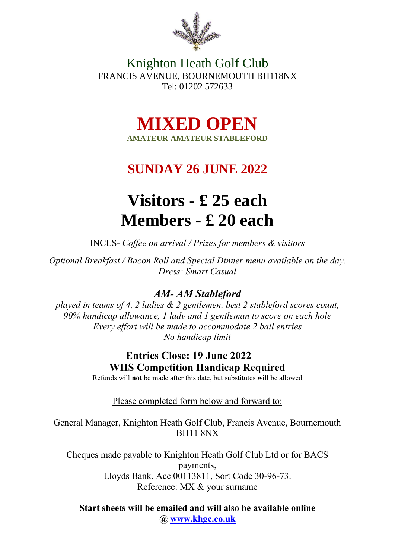

Knighton Heath Golf Club FRANCIS AVENUE, BOURNEMOUTH BH118NX Tel: 01202 572633

> **MIXED OPEN AMATEUR-AMATEUR STABLEFORD**

## **SUNDAY 26 JUNE 2022**

# **Visitors - £ 25 each Members - £ 20 each**

INCLS- *Coffee on arrival / Prizes for members & visitors* 

*Optional Breakfast / Bacon Roll and Special Dinner menu available on the day. Dress: Smart Casual*

#### *AM- AM Stableford*

*played in teams of 4, 2 ladies & 2 gentlemen, best 2 stableford scores count, 90% handicap allowance, 1 lady and 1 gentleman to score on each hole Every effort will be made to accommodate 2 ball entries No handicap limit*

### **Entries Close: 19 June 2022 WHS Competition Handicap Required**

Refunds will **not** be made after this date, but substitutes **will** be allowed

Please completed form below and forward to:

General Manager, Knighton Heath Golf Club, Francis Avenue, Bournemouth BH11 8NX

Cheques made payable to Knighton Heath Golf Club Ltd or for BACS payments, Lloyds Bank, Acc 00113811, Sort Code 30-96-73. Reference: MX & your surname

**Start sheets will be emailed and will also be available online @ [www.khgc.co.uk](http://www.khgc.co.uk/)**